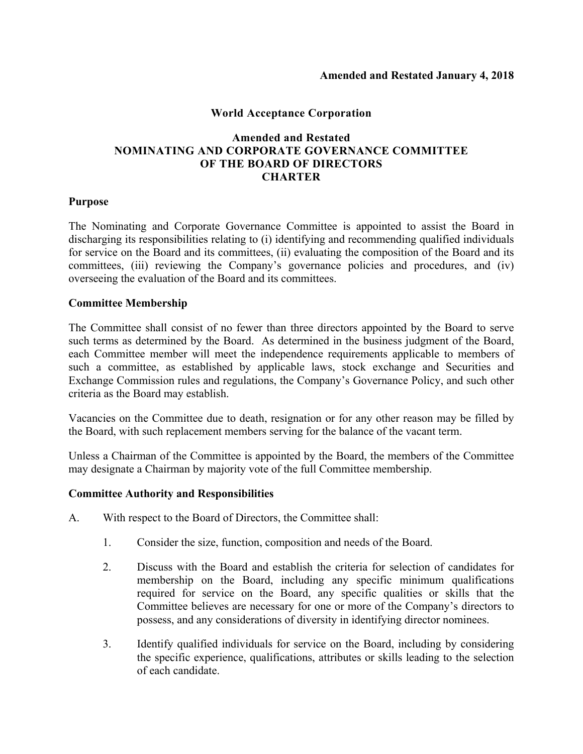# **World Acceptance Corporation**

# **Amended and Restated NOMINATING AND CORPORATE GOVERNANCE COMMITTEE OF THE BOARD OF DIRECTORS CHARTER**

### **Purpose**

The Nominating and Corporate Governance Committee is appointed to assist the Board in discharging its responsibilities relating to (i) identifying and recommending qualified individuals for service on the Board and its committees, (ii) evaluating the composition of the Board and its committees, (iii) reviewing the Company's governance policies and procedures, and (iv) overseeing the evaluation of the Board and its committees.

### **Committee Membership**

The Committee shall consist of no fewer than three directors appointed by the Board to serve such terms as determined by the Board. As determined in the business judgment of the Board, each Committee member will meet the independence requirements applicable to members of such a committee, as established by applicable laws, stock exchange and Securities and Exchange Commission rules and regulations, the Company's Governance Policy, and such other criteria as the Board may establish.

Vacancies on the Committee due to death, resignation or for any other reason may be filled by the Board, with such replacement members serving for the balance of the vacant term.

Unless a Chairman of the Committee is appointed by the Board, the members of the Committee may designate a Chairman by majority vote of the full Committee membership.

### **Committee Authority and Responsibilities**

- A. With respect to the Board of Directors, the Committee shall:
	- 1. Consider the size, function, composition and needs of the Board.
	- 2. Discuss with the Board and establish the criteria for selection of candidates for membership on the Board, including any specific minimum qualifications required for service on the Board, any specific qualities or skills that the Committee believes are necessary for one or more of the Company's directors to possess, and any considerations of diversity in identifying director nominees.
	- 3. Identify qualified individuals for service on the Board, including by considering the specific experience, qualifications, attributes or skills leading to the selection of each candidate.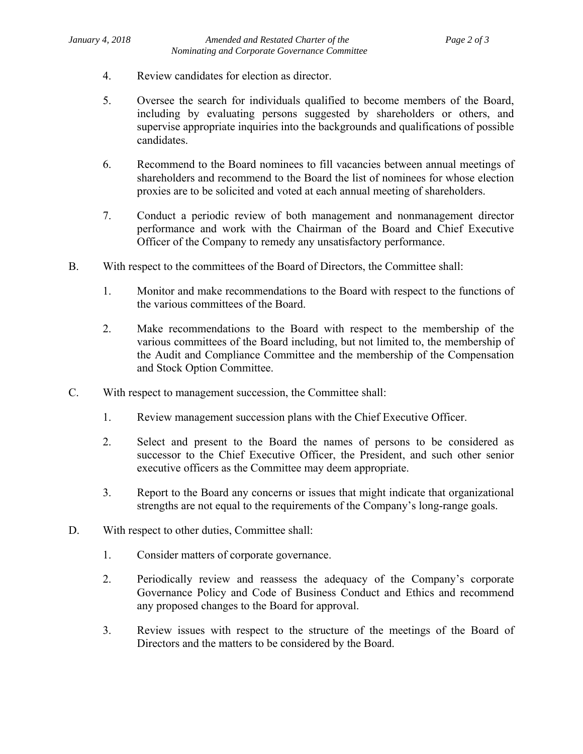- 4. Review candidates for election as director.
- 5. Oversee the search for individuals qualified to become members of the Board, including by evaluating persons suggested by shareholders or others, and supervise appropriate inquiries into the backgrounds and qualifications of possible candidates.
- 6. Recommend to the Board nominees to fill vacancies between annual meetings of shareholders and recommend to the Board the list of nominees for whose election proxies are to be solicited and voted at each annual meeting of shareholders.
- 7. Conduct a periodic review of both management and nonmanagement director performance and work with the Chairman of the Board and Chief Executive Officer of the Company to remedy any unsatisfactory performance.
- B. With respect to the committees of the Board of Directors, the Committee shall:
	- 1. Monitor and make recommendations to the Board with respect to the functions of the various committees of the Board.
	- 2. Make recommendations to the Board with respect to the membership of the various committees of the Board including, but not limited to, the membership of the Audit and Compliance Committee and the membership of the Compensation and Stock Option Committee.
- C. With respect to management succession, the Committee shall:
	- 1. Review management succession plans with the Chief Executive Officer.
	- 2. Select and present to the Board the names of persons to be considered as successor to the Chief Executive Officer, the President, and such other senior executive officers as the Committee may deem appropriate.
	- 3. Report to the Board any concerns or issues that might indicate that organizational strengths are not equal to the requirements of the Company's long-range goals.
- D. With respect to other duties, Committee shall:
	- 1. Consider matters of corporate governance.
	- 2. Periodically review and reassess the adequacy of the Company's corporate Governance Policy and Code of Business Conduct and Ethics and recommend any proposed changes to the Board for approval.
	- 3. Review issues with respect to the structure of the meetings of the Board of Directors and the matters to be considered by the Board.